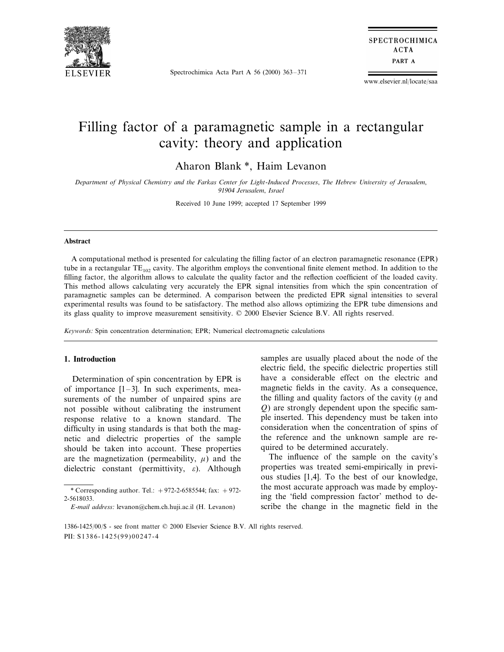

Spectrochimica Acta Part A 56 (2000) 363–371

**SPECTROCHIMICA ACTA** PART A

www.elsevier.nl/locate/saa

# Filling factor of a paramagnetic sample in a rectangular cavity: theory and application

Aharon Blank \*, Haim Levanon

*Department of Physical Chemistry and the Farkas Center for Light*-*Induced Processes*, *The Hebrew Uni*6*ersity of Jerusalem*, 91904 *Jerusalem*, *Israel*

Received 10 June 1999; accepted 17 September 1999

## **Abstract**

A computational method is presented for calculating the filling factor of an electron paramagnetic resonance (EPR) tube in a rectangular  $TE_{102}$  cavity. The algorithm employs the conventional finite element method. In addition to the filling factor, the algorithm allows to calculate the quality factor and the reflection coefficient of the loaded cavity. This method allows calculating very accurately the EPR signal intensities from which the spin concentration of paramagnetic samples can be determined. A comparison between the predicted EPR signal intensities to several experimental results was found to be satisfactory. The method also allows optimizing the EPR tube dimensions and its glass quality to improve measurement sensitivity. © 2000 Elsevier Science B.V. All rights reserved.

*Keywords*: Spin concentration determination; EPR; Numerical electromagnetic calculations

#### **1. Introduction**

Determination of spin concentration by EPR is of importance  $[1-3]$ . In such experiments, measurements of the number of unpaired spins are not possible without calibrating the instrument response relative to a known standard. The difficulty in using standards is that both the magnetic and dielectric properties of the sample should be taken into account. These properties are the magnetization (permeability,  $\mu$ ) and the dielectric constant (permittivity,  $\varepsilon$ ). Although

samples are usually placed about the node of the electric field, the specific dielectric properties still have a considerable effect on the electric and magnetic fields in the cavity. As a consequence, the filling and quality factors of the cavity  $(n \text{ and } n)$ *Q*) are strongly dependent upon the specific sample inserted. This dependency must be taken into consideration when the concentration of spins of the reference and the unknown sample are required to be determined accurately.

The influence of the sample on the cavity's properties was treated semi-empirically in previous studies [1,4]. To the best of our knowledge, the most accurate approach was made by employing the 'field compression factor' method to describe the change in the magnetic field in the

<sup>\*</sup> Corresponding author. Tel.:  $+972-2-6585544$ ; fax:  $+972-$ 2-5618033.

*E*-*mail address*: levanon@chem.ch.huji.ac.il (H. Levanon)

<sup>1386-1425</sup>/00/\$ - see front matter © 2000 Elsevier Science B.V. All rights reserved. PII: S1386-1425(99)00247-4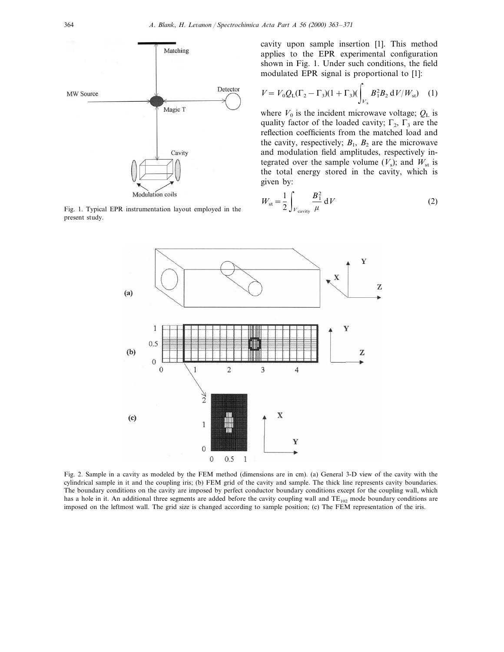

Fig. 1. Typical EPR instrumentation layout employed in the present study.

cavity upon sample insertion [1]. This method applies to the EPR experimental configuration shown in Fig. 1. Under such conditions, the field modulated EPR signal is proportional to [1]:

$$
V = V_0 Q_{\rm L} (\Gamma_2 - \Gamma_3)(1 + \Gamma_3) (\int_{V_s} B_1^2 B_2 \, \mathrm{d}V / W_{\rm st}) \tag{1}
$$

where  $V_0$  is the incident microwave voltage;  $Q_L$  is quality factor of the loaded cavity;  $\Gamma_2$ ,  $\Gamma_3$  are the reflection coefficients from the matched load and the cavity, respectively;  $B_1$ ,  $B_2$  are the microwave and modulation field amplitudes, respectively integrated over the sample volume  $(V_s)$ ; and  $W_{st}$  is the total energy stored in the cavity, which is given by:

$$
W_{\rm st} = \frac{1}{2} \int_{V_{\rm cavity}} \frac{B_1^2}{\mu} \, \mathrm{d}V \tag{2}
$$



Fig. 2. Sample in a cavity as modeled by the FEM method (dimensions are in cm). (a) General 3-D view of the cavity with the cylindrical sample in it and the coupling iris; (b) FEM grid of the cavity and sample. The thick line represents cavity boundaries. The boundary conditions on the cavity are imposed by perfect conductor boundary conditions except for the coupling wall, which has a hole in it. An additional three segments are added before the cavity coupling wall and  $TE_{102}$  mode boundary conditions are imposed on the leftmost wall. The grid size is changed according to sample position; (c) The FEM representation of the iris.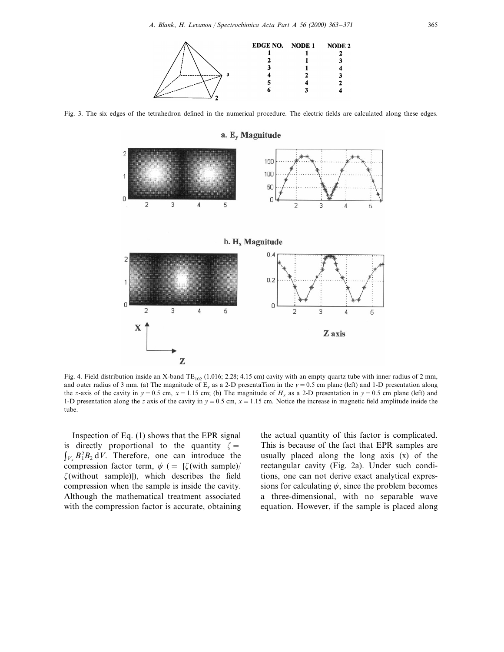

Fig. 3. The six edges of the tetrahedron defined in the numerical procedure. The electric fields are calculated along these edges.



Fig. 4. Field distribution inside an X-band  $TE_{102}$  (1.016; 2.28; 4.15 cm) cavity with an empty quartz tube with inner radius of 2 mm, and outer radius of 3 mm. (a) The magnitude of  $E_y$  as a 2-D presentaTion in the  $y = 0.5$  cm plane (left) and 1-D presentation along the *z*-axis of the cavity in  $y = 0.5$  cm,  $x = 1.15$  cm; (b) The magnitude of  $H<sub>x</sub>$  as a 2-D presentation in  $y = 0.5$  cm plane (left) and 1-D presentation along the *z* axis of the cavity in  $y = 0.5$  cm,  $x = 1.15$  cm. Notice the increase in magnetic field amplitude inside the tube.

Inspection of Eq. (1) shows that the EPR signal is directly proportional to the quantity  $\zeta =$  $\int_{V_s} B_1^2 B_2 dV$ . Therefore, one can introduce the compression factor term,  $\psi$  (= [ $\zeta$ (with sample)/  $\zeta$ (without sample)]), which describes the field compression when the sample is inside the cavity. Although the mathematical treatment associated with the compression factor is accurate, obtaining

the actual quantity of this factor is complicated. This is because of the fact that EPR samples are usually placed along the long axis (x) of the rectangular cavity (Fig. 2a). Under such conditions, one can not derive exact analytical expressions for calculating  $\psi$ , since the problem becomes a three-dimensional, with no separable wave equation. However, if the sample is placed along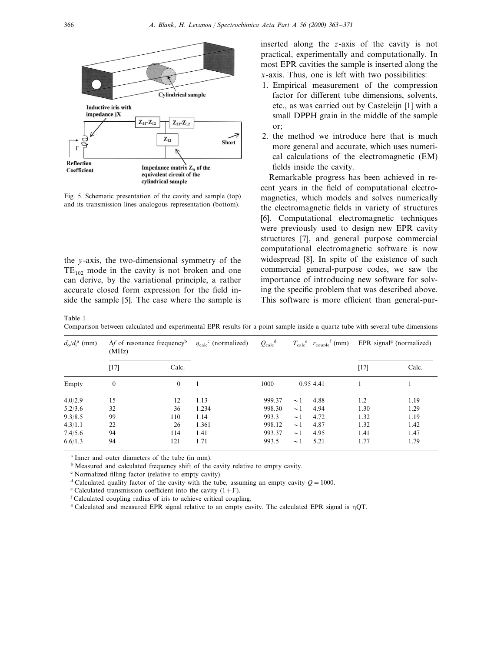

Fig. 5. Schematic presentation of the cavity and sample (top) and its transmission lines analogous representation (bottom).

the *y*-axis, the two-dimensional symmetry of the  $TE_{102}$  mode in the cavity is not broken and one can derive, by the variational principle, a rather accurate closed form expression for the field inside the sample [5]. The case where the sample is inserted along the *z*-axis of the cavity is not practical, experimentally and computationally. In most EPR cavities the sample is inserted along the *x*-axis. Thus, one is left with two possibilities:

- 1. Empirical measurement of the compression factor for different tube dimensions, solvents, etc., as was carried out by Casteleijn [1] with a small DPPH grain in the middle of the sample or;
- 2. the method we introduce here that is much more general and accurate, which uses numerical calculations of the electromagnetic (EM) fields inside the cavity.

Remarkable progress has been achieved in recent years in the field of computational electromagnetics, which models and solves numerically the electromagnetic fields in variety of structures [6]. Computational electromagnetic techniques were previously used to design new EPR cavity structures [7], and general purpose commercial computational electromagnetic software is now widespread [8]. In spite of the existence of such commercial general-purpose codes, we saw the importance of introducing new software for solving the specific problem that was described above. This software is more efficient than general-pur-

Table 1

Comparison between calculated and experimental EPR results for a point sample inside a quartz tube with several tube dimensions

| $d_{\rm o}/d_{\rm i}^{\rm a}$ (mm) | $\Delta f$ of resonance frequency <sup>b</sup><br>(MHz) |              | $\eta_{\rm calc}^{\rm c}$ (normalized) | $Q_{\rm calc}^{\rm d}$ | $T_{\text{calc}}^{\text{e}}$ $r_{\text{couple}}^{\text{f}}$ (mm) |           | EPR signal <sup>g</sup> (normalized) |       |
|------------------------------------|---------------------------------------------------------|--------------|----------------------------------------|------------------------|------------------------------------------------------------------|-----------|--------------------------------------|-------|
|                                    | [17]                                                    | Calc.        |                                        |                        |                                                                  |           | $[17]$                               | Calc. |
| Empty                              | $\mathbf{0}$                                            | $\mathbf{0}$ |                                        | 1000                   |                                                                  | 0.95 4.41 |                                      |       |
| 4.0/2.9                            | 15                                                      | 12           | 1.13                                   | 999.37                 | $\sim$ 1                                                         | 4.88      | 1.2                                  | 1.19  |
| 5.2/3.6                            | 32                                                      | 36           | 1.234                                  | 998.30                 | $\sim$ 1                                                         | 4.94      | 1.30                                 | 1.29  |
| 9.3/8.5                            | 99                                                      | 110          | 1.14                                   | 993.3                  | $\sim$ 1                                                         | 4.72      | 1.32                                 | 1.19  |
| 4.3/1.1                            | 22                                                      | 26           | 1.361                                  | 998.12                 | $\sim$ 1                                                         | 4.87      | 1.32                                 | 1.42  |
| 7.4/5.6                            | 94                                                      | 114          | 1.41                                   | 993.37                 | $\sim$ 1                                                         | 4.95      | 1.41                                 | 1.47  |
| 6.6/1.3                            | 94                                                      | 121          | 1.71                                   | 993.5                  | $\sim$ 1                                                         | 5.21      | 1.77                                 | 1.79  |

<sup>a</sup> Inner and outer diameters of the tube (in mm).

<sup>b</sup> Measured and calculated frequency shift of the cavity relative to empty cavity.

<sup>c</sup> Normalized filling factor (relative to empty cavity).

<sup>d</sup> Calculated quality factor of the cavity with the tube, assuming an empty cavity  $Q = 1000$ .

<sup>e</sup> Calculated transmission coefficient into the cavity  $(1+\Gamma)$ .

<sup>f</sup> Calculated coupling radius of iris to achieve critical coupling.

<sup>g</sup> Calculated and measured EPR signal relative to an empty cavity. The calculated EPR signal is  $\eta$ QT.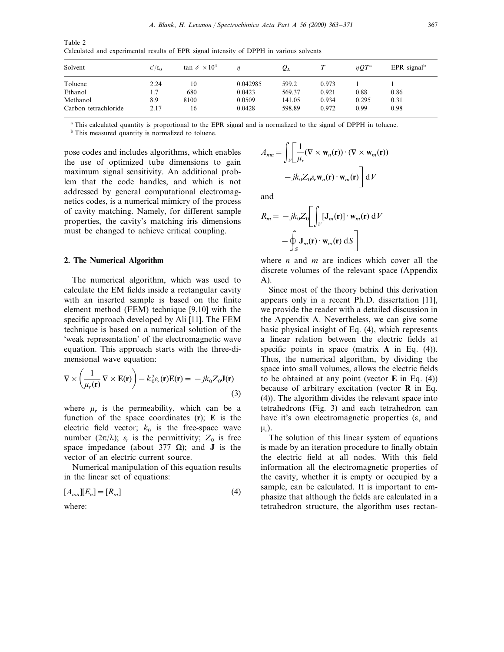Table 2 Calculated and experimental results of EPR signal intensity of DPPH in various solvents

| Solvent              | $\epsilon'/\epsilon_0$ | tan $\delta \times 10^4$ |          | $Q_L$  |       | $\eta O T^{\rm a}$ | EPR signal <sup>b</sup> |
|----------------------|------------------------|--------------------------|----------|--------|-------|--------------------|-------------------------|
| Toluene              | 2.24                   | 10                       | 0.042985 | 599.2  | 0.973 |                    |                         |
| Ethanol              | 1.7                    | 680                      | 0.0423   | 569.37 | 0.921 | 0.88               | 0.86                    |
| Methanol             | 8.9                    | 8100                     | 0.0509   | 141.05 | 0.934 | 0.295              | 0.31                    |
| Carbon tetrachloride | 2.17                   | 16                       | 0.0428   | 598.89 | 0.972 | 0.99               | 0.98                    |

<sup>a</sup> This calculated quantity is proportional to the EPR signal and is normalized to the signal of DPPH in toluene.

<sup>b</sup> This measured quantity is normalized to toluene.

pose codes and includes algorithms, which enables the use of optimized tube dimensions to gain maximum signal sensitivity. An additional problem that the code handles, and which is not addressed by general computational electromagnetics codes, is a numerical mimicry of the process of cavity matching. Namely, for different sample properties, the cavity's matching iris dimensions must be changed to achieve critical coupling.

#### **2. The Numerical Algorithm**

The numerical algorithm, which was used to calculate the EM fields inside a rectangular cavity with an inserted sample is based on the finite element method (FEM) technique [9,10] with the specific approach developed by Ali [11]. The FEM technique is based on a numerical solution of the 'weak representation' of the electromagnetic wave equation. This approach starts with the three-dimensional wave equation:

$$
\nabla \times \left(\frac{1}{\mu_r(\mathbf{r})}\nabla \times \mathbf{E}(\mathbf{r})\right) - k_0^2 \varepsilon_r(\mathbf{r})\mathbf{E}(\mathbf{r}) = -jk_0 Z_0 \mathbf{J}(\mathbf{r})
$$
\n(3)

where  $\mu_r$  is the permeability, which can be a function of the space coordinates (**r**); **E** is the electric field vector;  $k_0$  is the free-space wave number ( $2\pi/\lambda$ );  $\varepsilon_r$  is the permittivity;  $Z_0$  is free space impedance (about 377  $\Omega$ ); and **J** is the vector of an electric current source.

Numerical manipulation of this equation results in the linear set of equations:

$$
[A_{mn}][E_n] = [R_m]
$$
\n<sup>(4)</sup>

where:

$$
A_{mn} = \int_{V} \left[ \frac{1}{\mu_r} (\nabla \times \mathbf{w}_n(\mathbf{r})) \cdot (\nabla \times \mathbf{w}_m(\mathbf{r})) - jk_0 Z_0 \varepsilon_r \mathbf{w}_n(\mathbf{r}) \cdot \mathbf{w}_m(\mathbf{r}) \right] dV
$$

and

$$
R_m = -jk_0 Z_0 \left[ \int_V [\mathbf{J}_m(\mathbf{r})] \cdot \mathbf{w}_m(\mathbf{r}) \, dV - \oint_S \mathbf{J}_m(\mathbf{r}) \cdot \mathbf{w}_m(\mathbf{r}) \, dS \right]
$$

where *n* and *m* are indices which cover all the discrete volumes of the relevant space (Appendix A).

Since most of the theory behind this derivation appears only in a recent Ph.D. dissertation [11], we provide the reader with a detailed discussion in the Appendix A. Nevertheless, we can give some basic physical insight of Eq. (4), which represents a linear relation between the electric fields at specific points in space (matrix **A** in Eq. (4)). Thus, the numerical algorithm, by dividing the space into small volumes, allows the electric fields to be obtained at any point (vector **E** in Eq. (4)) because of arbitrary excitation (vector **R** in Eq. (4)). The algorithm divides the relevant space into tetrahedrons (Fig. 3) and each tetrahedron can have it's own electromagnetic properties ( $\varepsilon_r$  and  $\mu_n$ ).

The solution of this linear system of equations is made by an iteration procedure to finally obtain the electric field at all nodes. With this field information all the electromagnetic properties of the cavity, whether it is empty or occupied by a sample, can be calculated. It is important to emphasize that although the fields are calculated in a tetrahedron structure, the algorithm uses rectan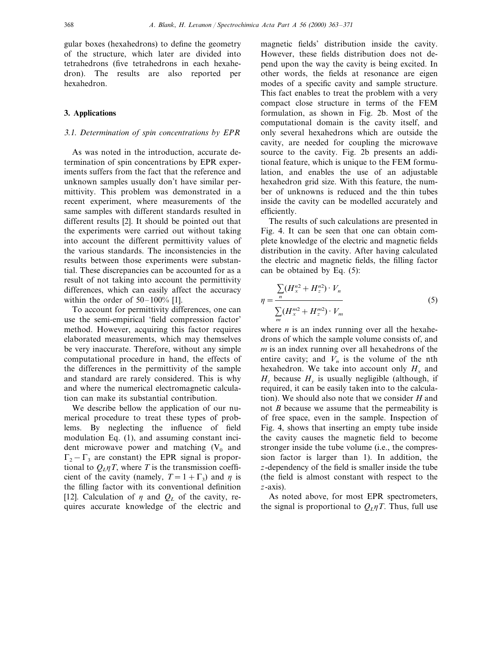gular boxes (hexahedrons) to define the geometry of the structure, which later are divided into tetrahedrons (five tetrahedrons in each hexahedron). The results are also reported per hexahedron.

## **3. Applications**

## 3.1. *Determination of spin concentrations by EPR*

As was noted in the introduction, accurate determination of spin concentrations by EPR experiments suffers from the fact that the reference and unknown samples usually don't have similar permittivity. This problem was demonstrated in a recent experiment, where measurements of the same samples with different standards resulted in different results [2]. It should be pointed out that the experiments were carried out without taking into account the different permittivity values of the various standards. The inconsistencies in the results between those experiments were substantial. These discrepancies can be accounted for as a result of not taking into account the permittivity differences, which can easily affect the accuracy within the order of  $50-100\%$  [1].

To account for permittivity differences, one can use the semi-empirical 'field compression factor' method. However, acquiring this factor requires elaborated measurements, which may themselves be very inaccurate. Therefore, without any simple computational procedure in hand, the effects of the differences in the permittivity of the sample and standard are rarely considered. This is why and where the numerical electromagnetic calculation can make its substantial contribution.

We describe bellow the application of our numerical procedure to treat these types of problems. By neglecting the influence of field modulation Eq. (1), and assuming constant incident microwave power and matching  $(V_0$  and  $\Gamma_2-\Gamma_3$  are constant) the EPR signal is proportional to  $Q_{L}\eta T$ , where T is the transmission coefficient of the cavity (namely,  $T=1+\Gamma_3$ ) and  $\eta$  is the filling factor with its conventional definition [12]. Calculation of  $\eta$  and  $Q_L$  of the cavity, requires accurate knowledge of the electric and magnetic fields' distribution inside the cavity. However, these fields distribution does not depend upon the way the cavity is being excited. In other words, the fields at resonance are eigen modes of a specific cavity and sample structure. This fact enables to treat the problem with a very compact close structure in terms of the FEM formulation, as shown in Fig. 2b. Most of the computational domain is the cavity itself, and only several hexahedrons which are outside the cavity, are needed for coupling the microwave source to the cavity. Fig. 2b presents an additional feature, which is unique to the FEM formulation, and enables the use of an adjustable hexahedron grid size. With this feature, the number of unknowns is reduced and the thin tubes inside the cavity can be modelled accurately and efficiently.

The results of such calculations are presented in Fig. 4. It can be seen that one can obtain complete knowledge of the electric and magnetic fields distribution in the cavity. After having calculated the electric and magnetic fields, the filling factor can be obtained by Eq. (5):

$$
\eta = \frac{\sum_{n} (H_{x}^{n2} + H_{z}^{n2}) \cdot V_{n}}{\sum_{m} (H_{x}^{m2} + H_{z}^{m2}) \cdot V_{m}}
$$
(5)

where  $n$  is an index running over all the hexahedrons of which the sample volume consists of, and *m* is an index running over all hexahedrons of the entire cavity; and  $V_n$  is the volume of the nth hexahedron. We take into account only  $H_x$  and  $H_z$  because  $H_y$  is usually negligible (although, if required, it can be easily taken into to the calculation). We should also note that we consider *H* and not *B* because we assume that the permeability is of free space, even in the sample. Inspection of Fig. 4, shows that inserting an empty tube inside the cavity causes the magnetic field to become stronger inside the tube volume (i.e., the compression factor is larger than 1). In addition, the *z*-dependency of the field is smaller inside the tube (the field is almost constant with respect to the *z*-axis).

As noted above, for most EPR spectrometers, the signal is proportional to  $Q_I \eta T$ . Thus, full use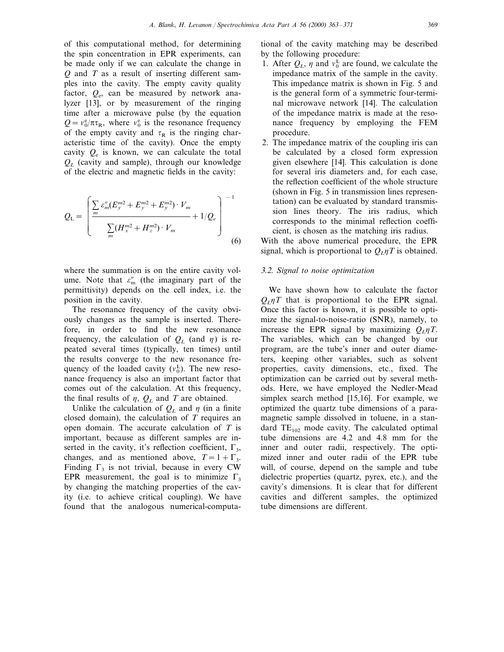of this computational method, for determining the spin concentration in EPR experiments, can be made only if we can calculate the change in *Q* and *T* as a result of inserting different samples into the cavity. The empty cavity quality factor, *Q*e, can be measured by network analyzer [13], or by measurement of the ringing time after a microwave pulse (by the equation  $Q = v_0^e / \pi \tau_R$ , where  $v_0^e$  is the resonance frequency of the empty cavity and  $\tau_R$  is the ringing characteristic time of the cavity). Once the empty cavity  $Q_e$  is known, we can calculate the total *QL* (cavity and sample), through our knowledge of the electric and magnetic fields in the cavity:

$$
Q_{\rm L} = \left( \frac{\sum_{m} \varepsilon_{m}^{\prime\prime} (E_{y}^{m2} + E_{y}^{m2} + E_{y}^{m2}) \cdot V_{m}}{\sum_{m} (H_{x}^{m2} + H_{z}^{m2}) \cdot V_{m}} + 1/Q_{e} \right)^{-1}
$$
(6)

where the summation is on the entire cavity volume. Note that  $\varepsilon_{m}''$  (the imaginary part of the permittivity) depends on the cell index, i.e. the position in the cavity.

The resonance frequency of the cavity obviously changes as the sample is inserted. Therefore, in order to find the new resonance frequency, the calculation of  $Q_L$  (and  $\eta$ ) is repeated several times (typically, ten times) until the results converge to the new resonance frequency of the loaded cavity  $(v_0^L)$ . The new resonance frequency is also an important factor that comes out of the calculation. At this frequency, the final results of  $\eta$ ,  $Q_L$  and *T* are obtained.

Unlike the calculation of  $Q_L$  and  $\eta$  (in a finite closed domain), the calculation of *T* requires an open domain. The accurate calculation of *T* is important, because as different samples are inserted in the cavity, it's reflection coefficient,  $\Gamma_3$ , changes, and as mentioned above,  $T=1+\Gamma_3$ . Finding  $\Gamma_3$  is not trivial, because in every CW EPR measurement, the goal is to minimize  $\Gamma_3$ by changing the matching properties of the cavity (i.e. to achieve critical coupling). We have found that the analogous numerical-computational of the cavity matching may be described by the following procedure:

- 1. After  $Q_L$ ,  $\eta$  and  $v_0^L$  are found, we calculate the impedance matrix of the sample in the cavity. This impedance matrix is shown in Fig. 5 and is the general form of a symmetric four-terminal microwave network [14]. The calculation of the impedance matrix is made at the resonance frequency by employing the FEM procedure.
- 2. The impedance matrix of the coupling iris can be calculated by a closed form expression given elsewhere [14]. This calculation is done for several iris diameters and, for each case, the reflection coefficient of the whole structure (shown in Fig. 5 in transmission lines representation) can be evaluated by standard transmission lines theory. The iris radius, which corresponds to the minimal reflection coefficient, is chosen as the matching iris radius.

With the above numerical procedure, the EPR signal, which is proportional to  $Q_L \eta T$  is obtained.

#### 3.2. *Signal to noise optimization*

We have shown how to calculate the factor  $Q_{\mu} \eta T$  that is proportional to the EPR signal. Once this factor is known, it is possible to optimize the signal-to-noise-ratio (SNR), namely, to increase the EPR signal by maximizing  $Q_l \eta T$ . The variables, which can be changed by our program, are the tube's inner and outer diameters, keeping other variables, such as solvent properties, cavity dimensions, etc., fixed. The optimization can be carried out by several methods. Here, we have employed the Nedler-Mead simplex search method [15,16]. For example, we optimized the quartz tube dimensions of a paramagnetic sample dissolved in toluene, in a standard  $TE_{102}$  mode cavity. The calculated optimal tube dimensions are 4.2 and 4.8 mm for the inner and outer radii, respectively. The optimized inner and outer radii of the EPR tube will, of course, depend on the sample and tube dielectric properties (quartz, pyrex, etc.), and the cavity's dimensions. It is clear that for different cavities and different samples, the optimized tube dimensions are different.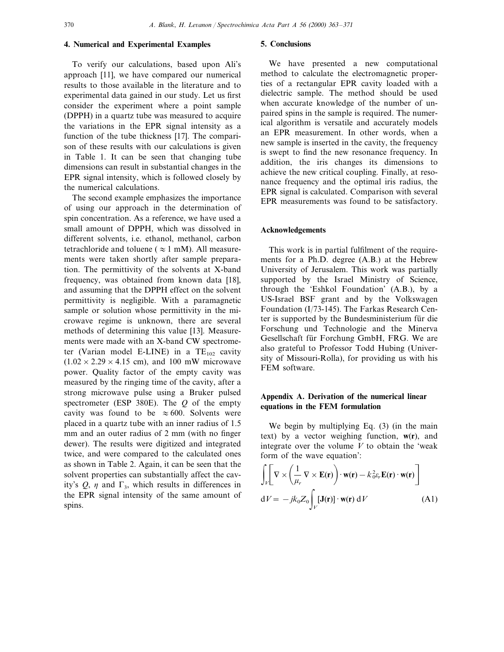# **4. Numerical and Experimental Examples**

To verify our calculations, based upon Ali's approach [11], we have compared our numerical results to those available in the literature and to experimental data gained in our study. Let us first consider the experiment where a point sample (DPPH) in a quartz tube was measured to acquire the variations in the EPR signal intensity as a function of the tube thickness [17]. The comparison of these results with our calculations is given in Table 1. It can be seen that changing tube dimensions can result in substantial changes in the EPR signal intensity, which is followed closely by the numerical calculations.

The second example emphasizes the importance of using our approach in the determination of spin concentration. As a reference, we have used a small amount of DPPH, which was dissolved in different solvents, i.e. ethanol, methanol, carbon tetrachloride and toluene ( $\approx 1$  mM). All measurements were taken shortly after sample preparation. The permittivity of the solvents at X-band frequency, was obtained from known data [18], and assuming that the DPPH effect on the solvent permittivity is negligible. With a paramagnetic sample or solution whose permittivity in the microwave regime is unknown, there are several methods of determining this value [13]. Measurements were made with an X-band CW spectrometer (Varian model E-LINE) in a  $TE_{102}$  cavity  $(1.02 \times 2.29 \times 4.15$  cm), and 100 mW microwave power. Quality factor of the empty cavity was measured by the ringing time of the cavity, after a strong microwave pulse using a Bruker pulsed spectrometer (ESP 380E). The *Q* of the empty cavity was found to be  $\approx 600$ . Solvents were placed in a quartz tube with an inner radius of 1.5 mm and an outer radius of 2 mm (with no finger dewer). The results were digitized and integrated twice, and were compared to the calculated ones as shown in Table 2. Again, it can be seen that the solvent properties can substantially affect the cavity's  $Q$ ,  $\eta$  and  $\Gamma_3$ , which results in differences in the EPR signal intensity of the same amount of spins.

## **5. Conclusions**

We have presented a new computational method to calculate the electromagnetic properties of a rectangular EPR cavity loaded with a dielectric sample. The method should be used when accurate knowledge of the number of unpaired spins in the sample is required. The numerical algorithm is versatile and accurately models an EPR measurement. In other words, when a new sample is inserted in the cavity, the frequency is swept to find the new resonance frequency. In addition, the iris changes its dimensions to achieve the new critical coupling. Finally, at resonance frequency and the optimal iris radius, the EPR signal is calculated. Comparison with several EPR measurements was found to be satisfactory.

## **Acknowledgements**

This work is in partial fulfilment of the requirements for a Ph.D. degree (A.B.) at the Hebrew University of Jerusalem. This work was partially supported by the Israel Ministry of Science, through the 'Eshkol Foundation' (A.B.), by a US-Israel BSF grant and by the Volkswagen Foundation (I/73-145). The Farkas Research Center is supported by the Bundesministerium für die Forschung und Technologie and the Minerva Gesellschaft für Forchung GmbH, FRG. We are also grateful to Professor Todd Hubing (University of Missouri-Rolla), for providing us with his FEM software.

## **Appendix A. Derivation of the numerical linear equations in the FEM formulation**

We begin by multiplying Eq.  $(3)$  (in the main text) by a vector weighing function, **w**(**r**), and integrate over the volume  $V$  to obtain the 'weak form of the wave equation':

$$
\int_{V} \left[ \nabla \times \left( \frac{1}{\mu_{r}} \nabla \times \mathbf{E}(\mathbf{r}) \right) \cdot \mathbf{w}(\mathbf{r}) - k_{0}^{2} \varepsilon_{r} \mathbf{E}(\mathbf{r}) \cdot \mathbf{w}(\mathbf{r}) \right]
$$
  
dV = -jk\_{0} Z\_{0} \int\_{V} [\mathbf{J}(\mathbf{r})] \cdot \mathbf{w}(\mathbf{r}) dV \qquad (A1)